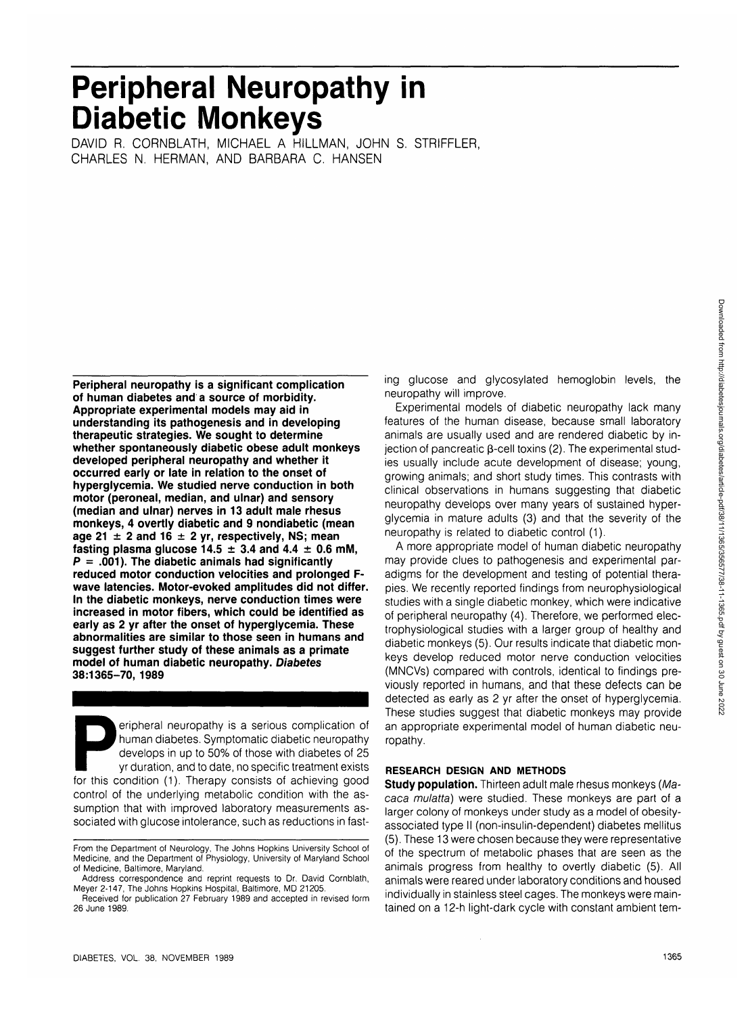# **Peripheral Neuropathy in Diabetic Monkeys**

DAVID R. CORNBLATH, MICHAEL A HILLMAN, JOHN S. STRIFFLER, CHARLES N. HERMAN, AND BARBARA C. HANSEN

**Peripheral neuropathy is a significant complication of human diabetes and a source of morbidity. Appropriate experimental models may aid in understanding its pathogenesis and in developing therapeutic strategies. We sought to determine whether spontaneously diabetic obese adult monkeys developed peripheral neuropathy and whether it occurred early or late in relation to the onset of hyperglycemia. We studied nerve conduction in both motor (peroneal, median, and ulnar) and sensory (median and ulnar) nerves in 13 adult male rhesus monkeys, 4 overtly diabetic and 9 nondiabetic (mean age 21 ± 2 and 16 ± 2 yr, respectively, NS; mean** fasting plasma glucose  $14.5 \pm 3.4$  and  $4.4 \pm 0.6$  mM. **P = .001). The diabetic animals had significantly reduced motor conduction velocities and prolonged Fwave latencies. Motor-evoked amplitudes did not differ. In the diabetic monkeys, nerve conduction times were increased in motor fibers, which could be identified as early as 2 yr after the onset of hyperglycemia. These abnormalities are similar to those seen in humans and suggest further study of these animals as a primate model of human diabetic neuropathy. Diabetes 38:1365-70, 1989**

Peripheral neuropathy is a serious complication of<br>human diabetes. Symptomatic diabetic neuropathy<br>develops in up to 50% of those with diabetes of 25<br>yr duration, and to date, no specific treatment exists<br>for this conditio human diabetes. Symptomatic diabetic neuropathy develops in up to 50% of those with diabetes of 25 yr duration, and to date, no specific treatment exists control of the underlying metabolic condition with the assumption that with improved laboratory measurements associated with glucose intolerance, such as reductions in fasting glucose and glycosylated hemoglobin levels, the neuropathy will improve.

Experimental models of diabetic neuropathy lack many features of the human disease, because small laboratory animals are usually used and are rendered diabetic by injection of pancreatic  $\beta$ -cell toxins (2). The experimental studies usually include acute development of disease; young, growing animals; and short study times. This contrasts with clinical observations in humans suggesting that diabetic neuropathy develops over many years of sustained hyperglycemia in mature adults (3) and that the severity of the neuropathy is related to diabetic control (1).

A more appropriate model of human diabetic neuropathy may provide clues to pathogenesis and experimental paradigms for the development and testing of potential therapies. We recently reported findings from neurophysiological studies with a single diabetic monkey, which were indicative of peripheral neuropathy (4). Therefore, we performed electrophysiological studies with a larger group of healthy and diabetic monkeys (5). Our results indicate that diabetic monkeys develop reduced motor nerve conduction velocities (MNCVs) compared with controls, identical to findings previously reported in humans, and that these defects can be detected as early as 2 yr after the onset of hyperglycemia. These studies suggest that diabetic monkeys may provide an appropriate experimental model of human diabetic neuropathy.

## **RESEARCH DESIGN AND METHODS**

**Study population.** Thirteen adult male rhesus monkeys (Macaca mulatta) were studied. These monkeys are part of a larger colony of monkeys under study as a model of obesityassociated type II (non-insulin-dependent) diabetes mellitus (5). These 13 were chosen because they were representative of the spectrum of metabolic phases that are seen as the animals progress from healthy to overtly diabetic (5). All animals were reared under laboratory conditions and housed individually in stainless steel cages. The monkeys were maintained on a 12-h light-dark cycle with constant ambient tem-

From the Department of Neurology, The Johns Hopkins University School of Medicine, and the Department of Physiology, University of Maryland School of Medicine, Baltimore, Maryland.

Address correspondence and reprint requests to Dr. David Cornblath, Meyer 2-147, The Johns Hopkins Hospital, Baltimore, MD 21205.

Received for publication 27 February 1989 and accepted in revised form 26 June 1989.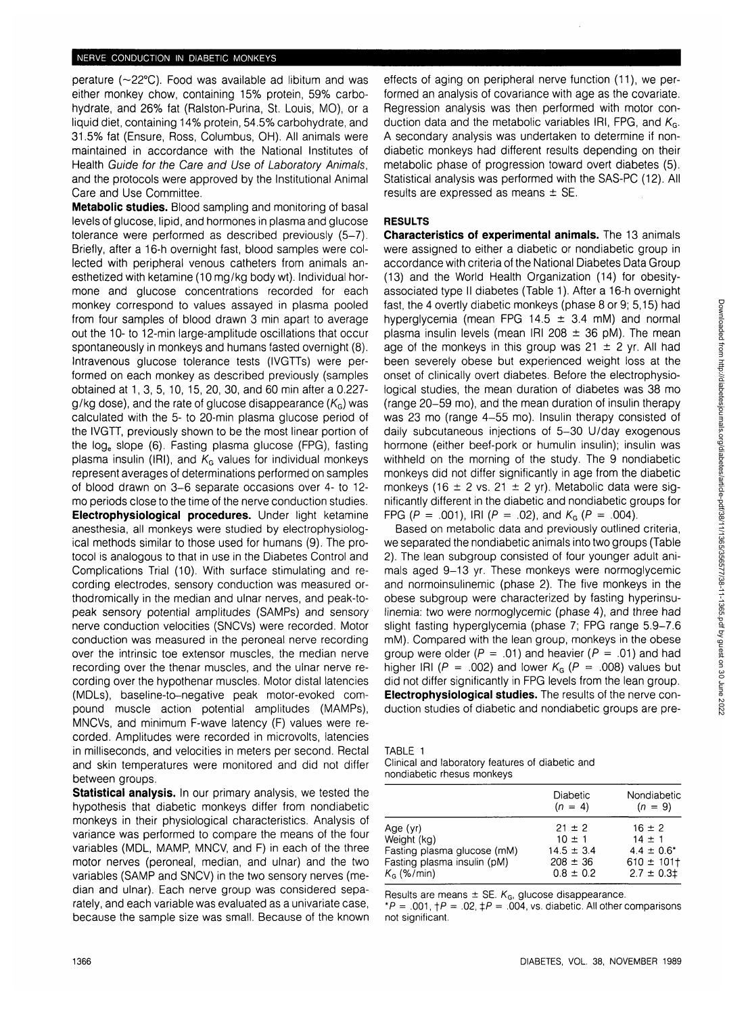perature (~22°C). Food was available ad libitum and was either monkey chow, containing 15% protein, 59% carbohydrate, and 26% fat (Ralston-Purina, St. Louis, MO), or a liquid diet, containing 14% protein, 54.5% carbohydrate, and 31.5% fat (Ensure, Ross, Columbus, OH). All animals were maintained in accordance with the National Institutes of Health Guide for the Care and Use of Laboratory Animals, and the protocols were approved by the Institutional Animal Care and Use Committee.

**Metabolic studies.** Blood sampling and monitoring of basal levels of glucose, lipid, and hormones in plasma and glucose tolerance were performed as described previously (5-7). Briefly, after a 16-h overnight fast, blood samples were collected with peripheral venous catheters from animals anesthetized with ketamine (10 mg/kg body wt). Individual hormone and glucose concentrations recorded for each monkey correspond to values assayed in plasma pooled from four samples of blood drawn 3 min apart to average out the 10- to 12-min large-amplitude oscillations that occur spontaneously in monkeys and humans fasted overnight (8). Intravenous glucose tolerance tests (IVGTTs) were performed on each monkey as described previously (samples obtained at 1, 3, 5, 10, 15, 20, 30, and 60 min after a 0.227 g/kg dose), and the rate of glucose disappearance  $(K<sub>G</sub>)$  was calculated with the 5- to 20-min plasma glucose period of the IVGTT, previously shown to be the most linear portion of the log<sub>e</sub> slope (6). Fasting plasma glucose (FPG), fasting plasma insulin (IRI), and  $K<sub>G</sub>$  values for individual monkeys represent averages of determinations performed on samples of blood drawn on 3-6 separate occasions over 4- to 12 mo periods close to the time of the nerve conduction studies.

**Electrophysiological procedures.** Under light ketamine anesthesia, all monkeys were studied by electrophysiological methods similar to those used for humans (9). The protocol is analogous to that in use in the Diabetes Control and Complications Trial (10). With surface stimulating and recording electrodes, sensory conduction was measured orthodromically in the median and ulnar nerves, and peak-topeak sensory potential amplitudes (SAMPs) and sensory nerve conduction velocities (SNCVs) were recorded. Motor conduction was measured in the peroneal nerve recording over the intrinsic toe extensor muscles, the median nerve recording over the thenar muscles, and the ulnar nerve recording over the hypothenar muscles. Motor distal latencies (MDLs), baseline-to-negative peak motor-evoked compound muscle action potential amplitudes (MAMPs), MNCVs, and minimum F-wave latency (F) values were recorded. Amplitudes were recorded in microvolts, latencies in milliseconds, and velocities in meters per second. Rectal and skin temperatures were monitored and did not differ between groups.

**Statistical analysis.** In our primary analysis, we tested the hypothesis that diabetic monkeys differ from nondiabetic monkeys in their physiological characteristics. Analysis of variance was performed to compare the means of the four variables (MDL, MAMP, MNCV, and F) in each of the three motor nerves (peroneal, median, and ulnar) and the two variables (SAMP and SNCV) in the two sensory nerves (median and ulnar). Each nerve group was considered separately, and each variable was evaluated as a univariate case, because the sample size was small. Because of the known effects of aging on peripheral nerve function (11), we performed an analysis of covariance with age as the covariate. Regression analysis was then performed with motor conduction data and the metabolic variables IRI, FPG, and  $K_{\text{G}}$ , A secondary analysis was undertaken to determine if nondiabetic monkeys had different results depending on their metabolic phase of progression toward overt diabetes (5). Statistical analysis was performed with the SAS-PC (12). All results are expressed as means  $\pm$  SE.

## **RESULTS**

**Characteristics of experimental animals.** The 13 animals were assigned to either a diabetic or nondiabetic group in accordance with criteria of the National Diabetes Data Group (13) and the World Health Organization (14) for obesityassociated type II diabetes (Table 1). After a 16-h overnight fast, the 4 overtly diabetic monkeys (phase 8 or 9; 5,15) had hyperglycemia (mean FPG 14.5  $\pm$  3.4 mM) and normal plasma insulin levels (mean IRI 208  $\pm$  36 pM). The mean age of the monkeys in this group was  $21 \pm 2$  yr. All had been severely obese but experienced weight loss at the onset of clinically overt diabetes. Before the electrophysiological studies, the mean duration of diabetes was 38 mo (range 20-59 mo), and the mean duration of insulin therapy was 23 mo (range 4-55 mo). Insulin therapy consisted of daily subcutaneous injections of 5-30 U/day exogenous hormone (either beef-pork or humulin insulin); insulin was withheld on the morning of the study. The 9 nondiabetic monkeys did not differ significantly in age from the diabetic monkeys (16  $\pm$  2 vs. 21  $\pm$  2 yr). Metabolic data were significantly different in the diabetic and nondiabetic groups for FPG (P = .001), IRI (P = .02), and  $K_G$  (P = .004).

Based on metabolic data and previously outlined criteria, we separated the nondiabetic animals into two groups (Table 2). The lean subgroup consisted of four younger adult animals aged 9-13 yr. These monkeys were normoglycemic and normoinsulinemic (phase 2). The five monkeys in the obese subgroup were characterized by fasting hyperinsulinemia: two were normoglycemic (phase 4), and three had slight fasting hyperglycemia (phase 7; FPG range 5.9-7.6 mM). Compared with the lean group, monkeys in the obese group were older ( $P = .01$ ) and heavier ( $P = .01$ ) and had higher IRI (P = .002) and lower  $K_G$  (P = .008) values but did not differ significantly in FPG levels from the lean group. **Electrophysiological studies.** The results of the nerve conduction studies of diabetic and nondiabetic groups are pre-

| TABLE 1                                |  |  |
|----------------------------------------|--|--|
| <b>Contractor</b> and the late and the |  |  |

|  | Clinical and laboratory features of diabetic and |  |  |
|--|--------------------------------------------------|--|--|
|  | nondiabetic rhesus monkeys                       |  |  |

|                             | Diabetic<br>$(n = 4)$ | Nondiabetic<br>$(n = 9)$ |
|-----------------------------|-----------------------|--------------------------|
| Age (yr)                    | $21 \pm 2$            | $16 \pm 2$               |
| Weight (kg)                 | $10 \pm 1$            | $14 \pm 1$               |
| Fasting plasma glucose (mM) | $14.5 \pm 3.4$        | $4.4 \pm 0.6^*$          |
| Fasting plasma insulin (pM) | $208 \pm 36$          | $610 \pm 101$ †          |
| $K6$ (%/min)                | $0.8 \pm 0.2$         | $2.7 \pm 0.3$            |

Results are means  $\pm$  SE.  $K_G$ , glucose disappearance.

\*P = .001,  $\uparrow P$  = .02,  $\downarrow P$  = .004, vs. diabetic. All other comparisons not significant.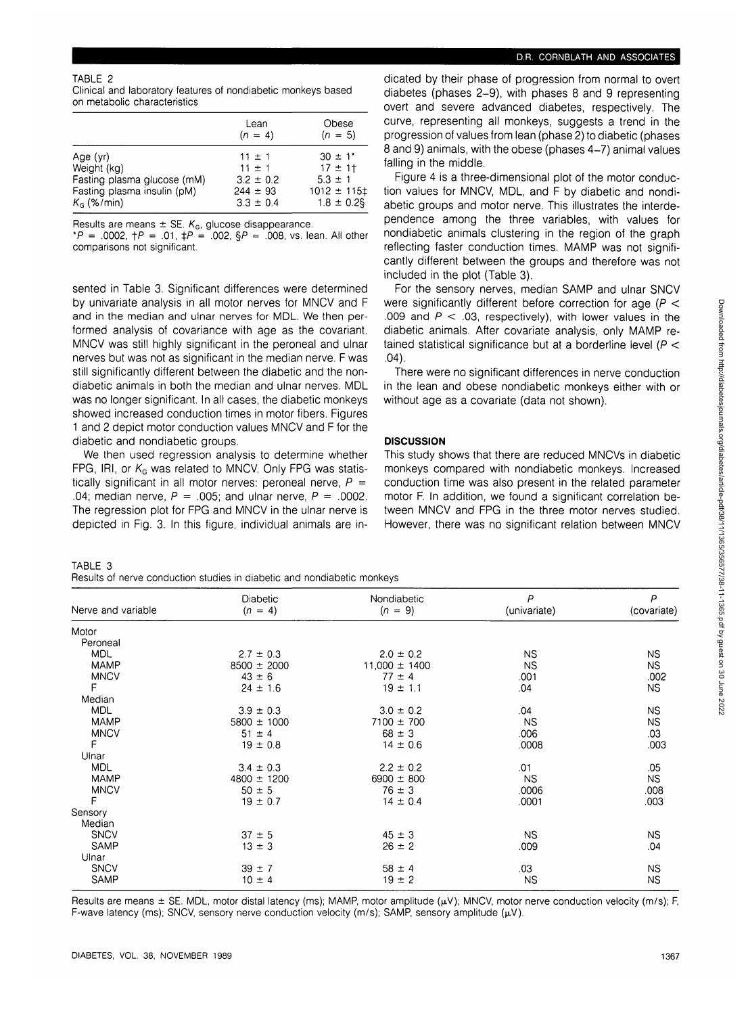P (covariate)

> NS NS .002 NS NS NS .03 .003 .05 NS .008 .003

NS .04 NS NS

## TABLE 2

Clinical and laboratory features of nondiabetic monkeys based on metabolic characteristics

|                             | Lean<br>$(n = 4)$ | Obese<br>$(n = 5)$ |
|-----------------------------|-------------------|--------------------|
| Age $(yr)$                  | $11 \pm 1$        | $30 \pm 1^*$       |
| Weight (kg)                 | $11 \pm 1$        | $17 + 11$          |
| Fasting plasma glucose (mM) | $3.2 \pm 0.2$     | $5.3 \pm 1$        |
| Fasting plasma insulin (pM) | $244 \pm 93$      | $1012 \pm 115$     |
| $KG$ (%/min)                | $3.3 \pm 0.4$     | $1.8 \pm 0.2$ §    |

Results are means  $\pm$  SE.  $K_{G}$ , glucose disappearance.

\*P = .0002,  $\uparrow P$  = .01,  $\downarrow P$  = .002,  $\uparrow P$  = .008, vs. lean. All other comparisons not significant.

sented in Table 3. Significant differences were determined by univariate analysis in all motor nerves for MNCV and F and in the median and ulnar nerves for MDL. We then performed analysis of covariance with age as the covariant. MNCV was still highly significant in the peroneal and ulnar nerves but was not as significant in the median nerve. F was still significantly different between the diabetic and the nondiabetic animals in both the median and ulnar nerves. MDL was no longer significant. In all cases, the diabetic monkeys showed increased conduction times in motor fibers. Figures 1 and 2 depict motor conduction values MNCV and F for the diabetic and nondiabetic groups.

We then used regression analysis to determine whether FPG, IRI, or  $K_G$  was related to MNCV. Only FPG was statistically significant in all motor nerves: peroneal nerve,  $P =$ .04; median nerve,  $P = .005$ ; and ulnar nerve,  $P = .0002$ . The regression plot for FPG and MNCV in the ulnar nerve is depicted in Fig. 3. In this figure, individual animals are in-

> Diabetic  $(n = 4)$

 $2.7 \pm 0.3$ 8500 ± 2000  $43 \pm 6$  $24 \pm 1.6$  $3.9 \pm 0.3$ 5800 ± 1000  $51 \pm 4$  $19 \pm 0.8$  $3.4 \pm 0.3$ 4800 ± 1200  $50 \pm 5$  $19 \pm 0.7$ 

#### TABLE 3 Results of nerve conduction studies in diabetic and nondiabetic monkeys

Nerve and variable

Motor Peroneal MDL MAMP **MNCV** 

Median MDL MAMP **MNCV** F Ulnar MDL MAMP **MNCV** F **Sensory** Median **SNCV** SAMP Ulnar **SNCV** SAMP

.F

| D.R. CORNBLATH AND ASSOCIATES |
|-------------------------------|
|-------------------------------|

dicated by their phase of progression from normal to overt diabetes (phases 2-9), with phases 8 and 9 representing overt and severe advanced diabetes, respectively. The curve, representing all monkeys, suggests a trend in the progression of values from lean (phase 2) to diabetic (phases 8 and 9) animals, with the obese (phases 4-7) animal values falling in the middle.

Figure 4 is a three-dimensional plot of the motor conduction values for MNCV, MDL, and F by diabetic and nondiabetic groups and motor nerve. This illustrates the interdependence among the three variables, with values for nondiabetic animals clustering in the region of the graph reflecting faster conduction times. MAMP was not significantly different between the groups and therefore was not included in the plot (Table 3).

For the sensory nerves, median SAMP and ulnar SNCV were significantly different before correction for age ( $P <$ .009 and  $P < .03$ , respectively), with lower values in the diabetic animals. After covariate analysis, only MAMP retained statistical significance but at a borderline level ( $P <$ .04).

There were no significant differences in nerve conduction in the lean and obese nondiabetic monkeys either with or without age as a covariate (data not shown).

# **DISCUSSION**

Nondiabetic  $(n = 9)$ 

 $2.0 \pm 0.2$ 11,000 ± 1400  $77 \pm 4$  $19 \pm 1.1$  $3.0 \pm 0.2$ 7100 ± 700  $68 \pm 3$  $14 \pm 0.6$  $2.2 \pm 0.2$ 6900 ± 800  $76 \pm 3$  $14 \pm 0.4$ 

This study shows that there are reduced MNCVs in diabetic monkeys compared with nondiabetic monkeys. Increased conduction time was also present in the related parameter motor F. In addition, we found a significant correlation between MNCV and FPG in the three motor nerves studied. However, there was no significant relation between MNCV

> P (univariate)

> > NS NS .001 .04 .04 NS .006 .0008 .01 NS .0006 .0001

NS .009 .03 NS

| Results are means $\pm$ SE. MDL, motor distal latency (ms); MAMP, motor amplitude ( $\mu$ V); MNCV, motor nerve conduction velocity (m/s); F, |  |
|-----------------------------------------------------------------------------------------------------------------------------------------------|--|
| F-wave latency (ms); SNCV, sensory nerve conduction velocity (m/s); SAMP, sensory amplitude ( $\mu$ V).                                       |  |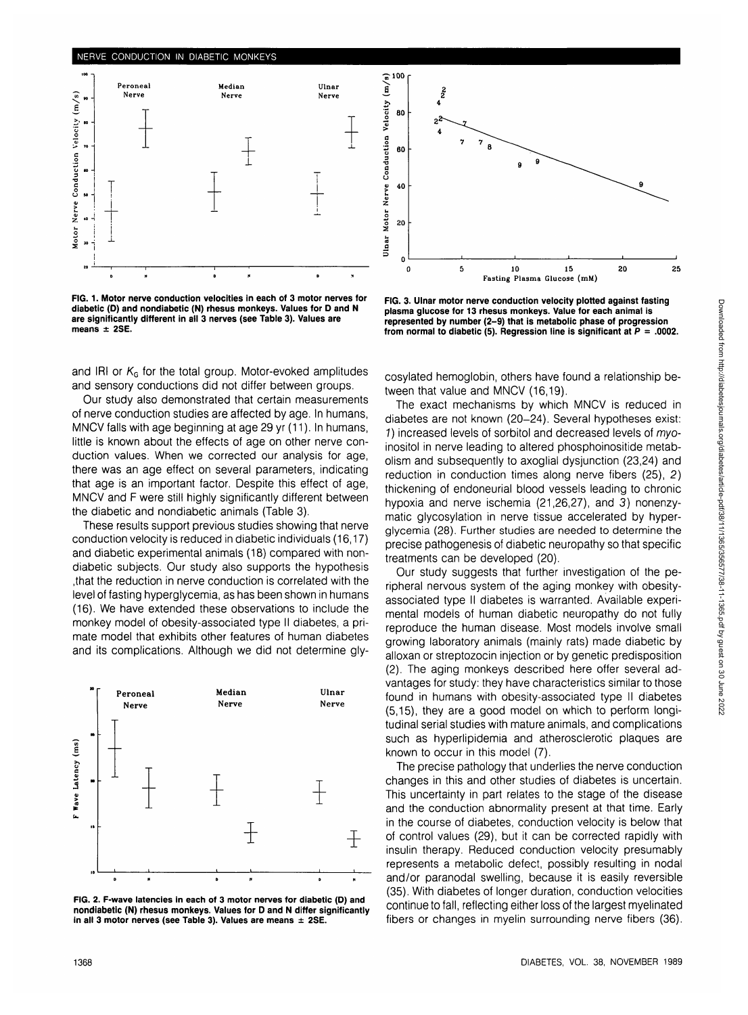

**FIG. 1. Motor nerve conduction velocities in each of 3 motor nerves for diabetic (D) and nondiabetic (N) rhesus monkeys. Values for D and N are significantly different in all 3 nerves (see Table 3). Values are means ± 2SE.**

and IRI or  $K<sub>G</sub>$  for the total group. Motor-evoked amplitudes and sensory conductions did not differ between groups.

Our study also demonstrated that certain measurements of nerve conduction studies are affected by age. In humans, MNCV falls with age beginning at age 29 yr (11). In humans, little is known about the effects of age on other nerve conduction values. When we corrected our analysis for age, there was an age effect on several parameters, indicating that age is an important factor. Despite this effect of age, MNCV and F were still highly significantly different between the diabetic and nondiabetic animals (Table 3).

These results support previous studies showing that nerve conduction velocity is reduced in diabetic individuals (16,17) and diabetic experimental animals (18) compared with nondiabetic subjects. Our study also supports the hypothesis .that the reduction in nerve conduction is correlated with the level of fasting hyperglycemia, as has been shown in humans (16). We have extended these observations to include the monkey model of obesity-associated type II diabetes, a primate model that exhibits other features of human diabetes and its complications. Although we did not determine gly-



**FIG. 2. F-wave latencies in each of 3 motor nerves for diabetic (D) and nondiabetic (N) rhesus monkeys. Values for D and N differ significantly in all 3 motor nerves (see Table 3). Values are means ± 2SE.**



**FIG. 3. Ulnar motor nerve conduction velocity plotted against fasting plasma glucose for 13 rhesus monkeys. Value for each animal is represented by number (2-9) that is metabolic phase of progression from normal to diabetic (5). Regression line is significant at P = .0002.**

cosylated hemoglobin, others have found a relationship between that value and MNCV (16,19).

The exact mechanisms by which MNCV is reduced in diabetes are not known (20-24). Several hypotheses exist: 1) increased levels of sorbitol and decreased levels of myoinositol in nerve leading to altered phosphoinositide metabolism and subsequently to axoglial dysjunction (23,24) and reduction in conduction times along nerve fibers (25), 2) thickening of endoneurial blood vessels leading to chronic hypoxia and nerve ischemia (21,26,27), and 3) nonenzymatic glycosylation in nerve tissue accelerated by hyperglycemia (28). Further studies are needed to determine the precise pathogenesis of diabetic neuropathy so that specific treatments can be developed (20).

Our study suggests that further investigation of the peripheral nervous system of the aging monkey with obesityassociated type II diabetes is warranted. Available experimental models of human diabetic neuropathy do not fully reproduce the human disease. Most models involve small growing laboratory animals (mainly rats) made diabetic by alloxan or streptozocin injection or by genetic predisposition (2). The aging monkeys described here offer several advantages for study: they have characteristics similar to those found in humans with obesity-associated type II diabetes (5,15), they are a good model on which to perform longitudinal serial studies with mature animals, and complications such as hyperlipidemia and atherosclerotic plaques are known to occur in this model (7).

The precise pathology that underlies the nerve conduction changes in this and other studies of diabetes is uncertain. This uncertainty in part relates to the stage of the disease and the conduction abnormality present at that time. Early in the course of diabetes, conduction velocity is below that of control values (29), but it can be corrected rapidly with insulin therapy. Reduced conduction velocity presumably represents a metabolic defect, possibly resulting in nodal and/or paranodal swelling, because it is easily reversible (35). With diabetes of longer duration, conduction velocities continue to fall, reflecting either loss of the largest myelinated fibers or changes in myelin surrounding nerve fibers (36).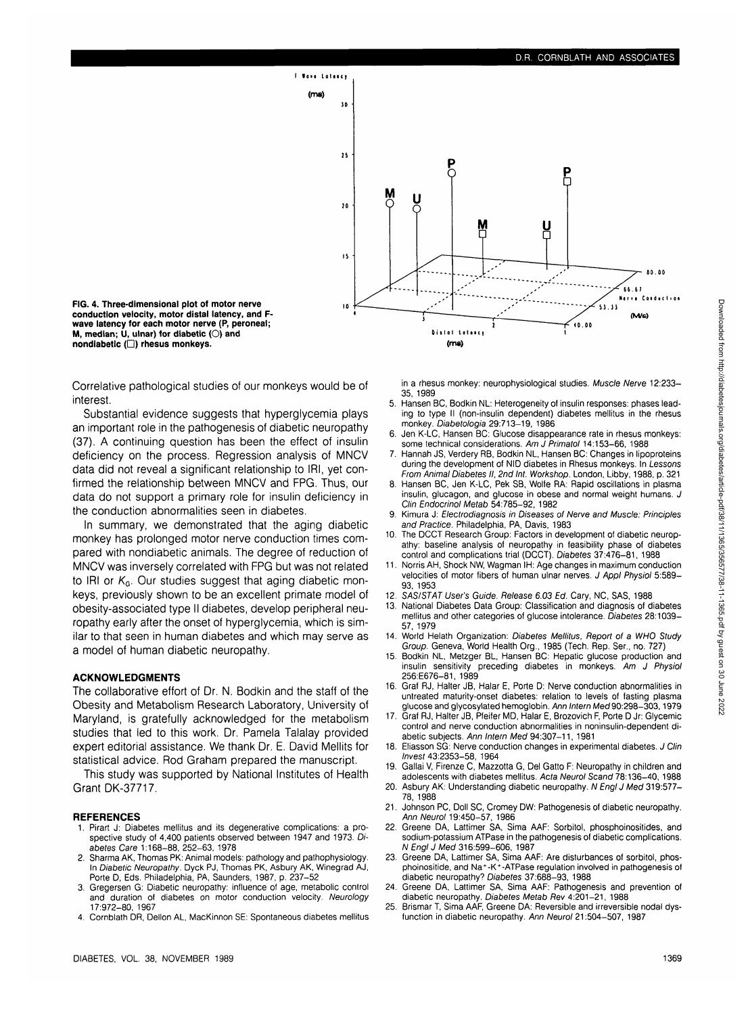

**FIG. 4. Three-dimensional plot of motor nerve conduction velocity, motor distal latency, and Fwave latency for each motor nerve (P, peroneal; M, median; U, ulnar) for diabetic** (O) **and nondiabetlc (D) rhesus monkeys.**

Correlative pathological studies of our monkeys would be of interest.

Substantial evidence suggests that hyperglycemia plays an important role in the pathogenesis of diabetic neuropathy (37). A continuing question has been the effect of insulin deficiency on the process. Regression analysis of MNCV data did not reveal a significant relationship to IRI, yet confirmed the relationship between MNCV and FPG. Thus, our data do not support a primary role for insulin deficiency in the conduction abnormalities seen in diabetes.

In summary, we demonstrated that the aging diabetic monkey has prolonged motor nerve conduction times compared with nondiabetic animals. The degree of reduction of MNCV was inversely correlated with FPG but was not related to IRI or  $K_G$ . Our studies suggest that aging diabetic monkeys, previously shown to be an excellent primate model of obesity-associated type II diabetes, develop peripheral neuropathy early after the onset of hyperglycemia, which is similar to that seen in human diabetes and which may serve as a model of human diabetic neuropathy.

## **ACKNOWLEDGMENTS**

The collaborative effort of Dr. N. Bodkin and the staff of the Obesity and Metabolism Research Laboratory, University of Maryland, is gratefully acknowledged for the metabolism studies that led to this work. Dr. Pamela Talalay provided expert editorial assistance. We thank Dr. E. David Mellits for statistical advice. Rod Graham prepared the manuscript.

This study was supported by National Institutes of Health **Grant DK-37717.** 

#### **REFERENCES**

- 1. Pirart J: Diabetes mellitus and its degenerative complications: a prospective study of 4,400 patients observed between 1947 and 1973. Diabetes Care 1:168-88, 252-63, 1978
- 2. Sharma AK, Thomas Pk: Animal models: pathology and pathophysiology. In *Diabetic Neuropathy.* Dyck PJ, Thomas PK, Asbury AK, Winegrad AJ,<br>Porte D, Eds. Philadelphia, PA, Saunders, 1987, p. 237–52
- 3. Gregersen G: Diabetic neuropathy: influence of age, metabolic control and duration of diabetes on motor conduction velocity. Neurology 17:972-80, 1967
- 4. Comblath DR, Dellon AL, MacKinnon SE: Spontaneous diabetes mellitus

in a rhesus monkey: neurophysiological studies. Muscle Nerve 12:233- 35, 1989

- 5. Hansen BC, Bodkin NL: Heterogeneity of insulin responses: phases leading to type II (non-insulin dependent) diabetes mellitus in the rhesus monkey. Diabetologia 29:713-19, 1986
- 6. Jen K-LC, Hansen BC: Glucose disappearance rate in rhesus monkeys: some technical considerations. Am J Primatol 14:153-66, 1988
- 7. Hannah JS, Verdery RB, Bodkin NL, Hansen BC: Changes in lipoproteins during the development of NID diabetes in Rhesus monkeys. In Lessons From Animal Diabetes II, 2nd Int. Workshop. London, Libby, 1988, p. 321
- 8. Hansen BC, Jen K-LC, Pek SB, Wolfe RA: Rapid oscillations in plasma insulin, glucagon, and glucose in obese and normal weight humans. J Clin Endocrinol Metab 54:785-92, 1982
- 9. Kimura J: Electrodiagnosis in Diseases ot Nerve and Muscle: Principles and Practice. Philadelphia, PA, Davis, 1983
- 10. The DCCT Research Group: Factors in development of diabetic neuropathy: baseline analysis of neuropathy in feasibility phase of diabetes control and complications trial (DCCT). Diabetes 37:476-81, 1988
- 11. Norris AH, Shock NW, Wagman IH: Age changes in maximum conduction velocities of motor fibers of human ulnar nerves. J Appl Physiol 5:589- 93, 1953
- 12. SAS/STAT User's Guide. Release 6.03 Ed. Cary, NC, SAS, 1988
- 13. National Diabetes Data Group: Classification and diagnosis of diabetes mellitus and other categories of glucose intolerance. Diabetes 28:1039- 57,1979
- 14. World Helath Organization: Diabetes Mellitus, Report of a WHO Study Group. Geneva, World Health Org., 1985 (Tech. Rep. Ser., no. 727)
- 15. Bodkin NL, Metzger BL, Hansen BC: Hepatic glucose production and insulin sensitivity preceding diabetes in monkeys. Am J Physiol 256:E676-81, 1989
- 16. Graf RJ, Halter JB, Halar E, Porte D: Nerve conduction abnormalities in untreated maturity-onset diabetes: relation to levels of fasting plasma glucose and glycosylated hemoglobin. Ann Intern Med90:298-303,1979
- 17. Graf RJ, Halter JB, Pfeifer MD, Halar E, Brozovich F, Porte D Jr: Glycemic control and nerve conduction abnormalities in noninsulin-dependent diabetic subjects. Ann Intern Med 94:307-11, 1981
- 18. Eliasson SG: Nerve conduction changes in experimental diabetes. J Clin Invest 43:2353-58, 1964
- 19. Gallai V, Firenze C, Mazzotta G, Del Gatto F: Neuropathy in children and adolescents with diabetes mellitus. Acta Neurol Scand 78:136-40, 1988
- 20. Asbury AK: Understanding diabetic neuropathy. N Engl J Med 319:577-78,1988
- 21. Johnson PC, Doll SC, Cromey DW: Pathogenesis of diabetic neuropathy. Ann Neurol 19:450-57, 1986
- 22. Greene DA, Lattimer SA, Sima AAF: Sorbitol, phosphoinositides, and sodium-potassium ATPase in the pathogenesis of diabetic complications. N Engl J Med 316:599-606, 1987
- 23. Greene DA, Lattimer SA, Sima AAF: Are disturbances of sorbitol, phos-phoinositide, and Na<sup>+</sup> -K<sup>+</sup> -ATPase regulation involved in pathogenesis of diabetic neuropathy? Diabetes 37:688-93, 1988
- 24. Greene DA, Lattimer SA, Sima AAF: Pathogenesis and prevention of diabetic neuropathy. Diabetes Metab Rev 4:201-21, 1988
- 25. Brismar T, Sima AAF, Greene DA: Reversible and irreversible nodal dysfunction in diabetic neuropathy. Ann Neurol 21:504-507, 1987